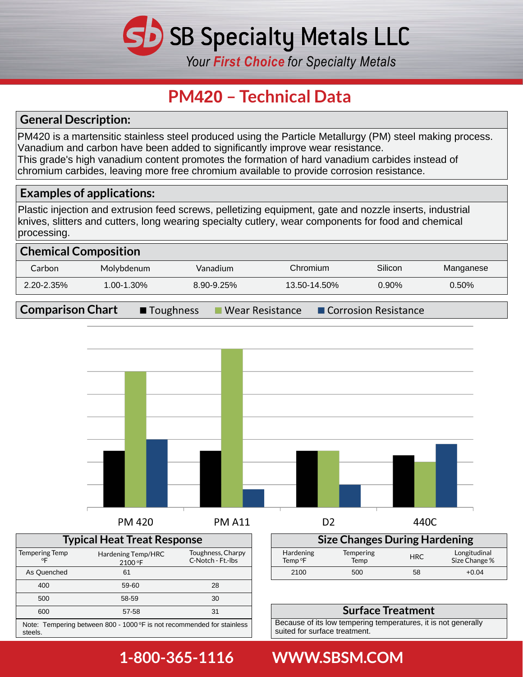SD SB Specialty Metals LLC

*Your First Choice for Specialty Metals*

# **PM420 – Technical Data**

### **General Description:**

PM420 is a martensitic stainless steel produced using the Particle Metallurgy (PM) steel making process. Vanadium and carbon have been added to significantly improve wear resistance. chromium carbides, leaving more free chromium available to provide corrosion resistance. This grade's high vanadium content promotes the formation of hard vanadium carbides instead of

#### **Examples of applications:**

processing. knives, slitters and cutters, long wearing specialty cutlery, wear components for food and chemical Plastic injection and extrusion feed screws, pelletizing equipment, gate and nozzle inserts, industrial

| <b>Chemical Composition</b>                                                                    |            |            |              |          |           |  |  |
|------------------------------------------------------------------------------------------------|------------|------------|--------------|----------|-----------|--|--|
| Carbon                                                                                         | Molybdenum | Vanadium   | Chromium     | Silicon  | Manganese |  |  |
| 2.20-2.35%                                                                                     | 1.00-1.30% | 8.90-9.25% | 13.50-14.50% | $0.90\%$ | 0.50%     |  |  |
| <b>Comparison Chart</b><br><b>T</b> oughness<br>Corrosion Resistance<br><b>Near Resistance</b> |            |            |              |          |           |  |  |



| <b>Typical Heat Treat Response</b> |                                                                     |                                        |  |  |  |
|------------------------------------|---------------------------------------------------------------------|----------------------------------------|--|--|--|
| <b>Tempering Temp</b><br>٥F        | Hardening Temp/HRC<br>2100 °F                                       | Toughness, Charpy<br>C-Notch - Ft.-lbs |  |  |  |
| As Quenched                        | 61                                                                  |                                        |  |  |  |
| 400                                | 59-60                                                               | 28                                     |  |  |  |
| 500                                | 58-59                                                               | 30                                     |  |  |  |
| 600                                | 57-58                                                               | 31                                     |  |  |  |
|                                    | Note: Tempering between 800 10000E is not recommended for stainless |                                        |  |  |  |

steels. Note: Tempering between 800 - 1000  $\textdegree$ F is not recommen

| <b>Typical Heat Treat Response</b> |                               |                                        | <b>Size Changes During Hardening</b> |                          |     |                               |
|------------------------------------|-------------------------------|----------------------------------------|--------------------------------------|--------------------------|-----|-------------------------------|
|                                    | Hardening Temp/HRC<br>2100 °F | Toughness, Charpy<br>C-Notch - Ft.-lbs | Hardening<br>Temp °F                 | <b>Tempering</b><br>Temp | HRC | Longitudinal<br>Size Change % |
|                                    | 61                            |                                        | 2100                                 | 500                      | 58  | $+0.04$                       |

#### **Surface Treatment**

suited for surface treatment. Because of its low tempering temperatures, it is not generally

## **1-800-365-1116 WWW.SBSM.COM**